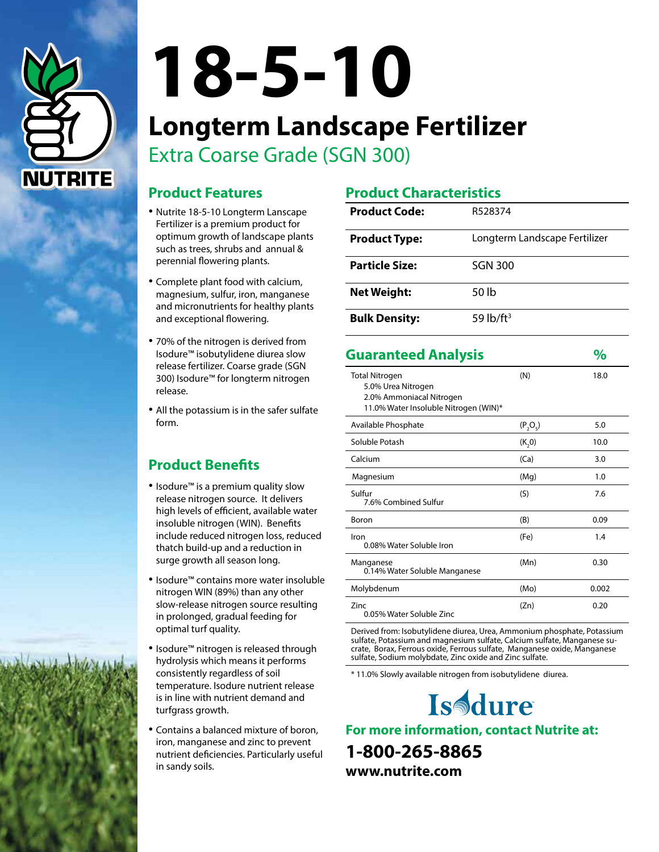

# **18-5-10**

# **Longterm Landscape Fertilizer** Extra Coarse Grade (SGN 300)

# **Product Features**

- Nutrite 18-5-10 Longterm Lanscape Fertilizer is a premium product for optimum growth of landscape plants such as trees, shrubs and annual & perennial flowering plants.
- Complete plant food with calcium, magnesium, sulfur, iron, manganese and micronutrients for healthy plants and exceptional flowering.
- 70% of the nitrogen is derived from Isodure™ isobutylidene diurea slow release fertilizer. Coarse grade (SGN 300) Isodure™ for longterm nitrogen release.
- All the potassium is in the safer sulfate form.

# **Product Benefits**

- Isodure™ is a premium quality slow release nitrogen source. It delivers high levels of efficient, available water insoluble nitrogen (WIN). Benefits include reduced nitrogen loss, reduced thatch build-up and a reduction in surge growth all season long.
- Isodure™ contains more water insoluble nitrogen WIN (89%) than any other slow-release nitrogen source resulting in prolonged, gradual feeding for optimal turf quality.
- Isodure™ nitrogen is released through hydrolysis which means it performs consistently regardless of soil temperature. Isodure nutrient release is in line with nutrient demand and turfgrass growth.
- Contains a balanced mixture of boron, iron, manganese and zinc to prevent nutrient deficiencies. Particularly useful in sandy soils.

## **Product Characteristics**

| <b>Product Code:</b>  | R528374                       |
|-----------------------|-------------------------------|
| <b>Product Type:</b>  | Longterm Landscape Fertilizer |
| <b>Particle Size:</b> | <b>SGN 300</b>                |
| <b>Net Weight:</b>    | 50 lb                         |
| <b>Bulk Density:</b>  | 59 $lb$ /ft <sup>3</sup>      |

| <b>Guaranteed Analysis</b>                                                                                       |            | %     |
|------------------------------------------------------------------------------------------------------------------|------------|-------|
| <b>Total Nitrogen</b><br>5.0% Urea Nitrogen<br>2.0% Ammoniacal Nitrogen<br>11.0% Water Insoluble Nitrogen (WIN)* | (N)        | 18.0  |
| Available Phosphate                                                                                              | $(P_2O_5)$ | 5.0   |
| Soluble Potash                                                                                                   | (K, 0)     | 10.0  |
| Calcium                                                                                                          | (Ca)       | 3.0   |
| Magnesium                                                                                                        | (Mg)       | 1.0   |
| Sulfur<br>7.6% Combined Sulfur                                                                                   | (S)        | 7.6   |
| Boron                                                                                                            | (B)        | 0.09  |
| Iron<br>0.08% Water Soluble Iron                                                                                 | (Fe)       | 1.4   |
| Manganese<br>0.14% Water Soluble Manganese                                                                       | (Mn)       | 0.30  |
| Molybdenum                                                                                                       | (Mo)       | 0.002 |
| 7inc<br>0.05% Water Soluble Zinc                                                                                 | (Zn)       | 0.20  |

Derived from: Isobutylidene diurea, Urea, Ammonium phosphate, Potassium sulfate, Potassium and magnesium sulfate, Calcium sulfate, Manganese sucrate, Borax, Ferrous oxide, Ferrous sulfate, Manganese oxide, Manganese sulfate, Sodium molybdate, Zinc oxide and Zinc sulfate.

\* 11.0% Slowly available nitrogen from isobutylidene diurea.



**For more information, contact Nutrite at: 1-800-265-8865 www.nutrite.com**